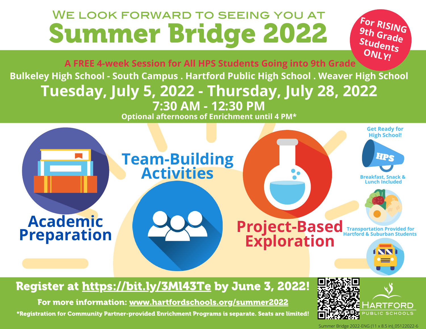## We look forward to seeing you at Summer Bridge 2022

**9 t F or RISING S <sup>h</sup> Grade tudents ONLY!** 

**A FREE 4-week Session for All HPS Students Going into 9th Grade Bulkeley High School - South Campus . Hartford Public High School . Weaver High School Tuesday, July 5, 2022 - Thursday, July 28, 2022 7:30 AM - 12:30 PM**

**Optional afternoons of Enrichment until 4 PM\***



## Register at <https://bit.ly/3Ml43Te> by June 3, 2022!

For more information: [www.hartfordschools.org/summer2022](https://www.hartfordschools.org/summer2022/)

\*Registration for Community Partner-provided Enrichment Programs is separate. Seats are limited!



Summer Bridge 2022-ENG (11 x 8.5 in)\_05122022-6